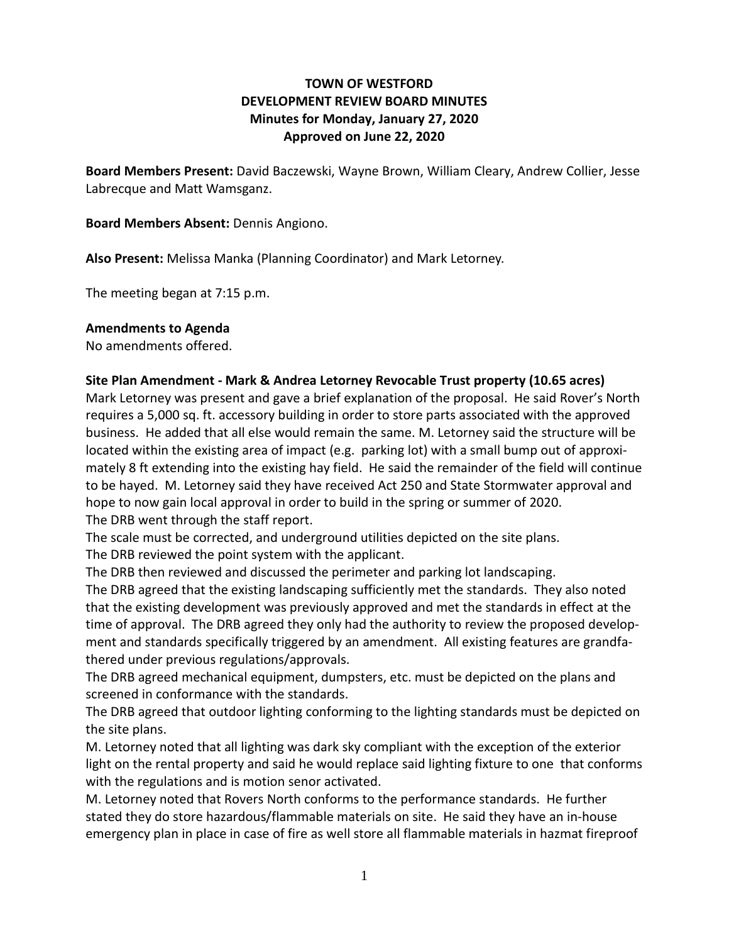# **TOWN OF WESTFORD DEVELOPMENT REVIEW BOARD MINUTES Minutes for Monday, January 27, 2020 Approved on June 22, 2020**

**Board Members Present:** David Baczewski, Wayne Brown, William Cleary, Andrew Collier, Jesse Labrecque and Matt Wamsganz.

**Board Members Absent:** Dennis Angiono.

**Also Present:** Melissa Manka (Planning Coordinator) and Mark Letorney.

The meeting began at 7:15 p.m.

#### **Amendments to Agenda**

No amendments offered.

### **Site Plan Amendment - Mark & Andrea Letorney Revocable Trust property (10.65 acres)**

Mark Letorney was present and gave a brief explanation of the proposal. He said Rover's North requires a 5,000 sq. ft. accessory building in order to store parts associated with the approved business. He added that all else would remain the same. M. Letorney said the structure will be located within the existing area of impact (e.g. parking lot) with a small bump out of approximately 8 ft extending into the existing hay field. He said the remainder of the field will continue to be hayed. M. Letorney said they have received Act 250 and State Stormwater approval and hope to now gain local approval in order to build in the spring or summer of 2020. The DRB went through the staff report.

The scale must be corrected, and underground utilities depicted on the site plans.

The DRB reviewed the point system with the applicant.

The DRB then reviewed and discussed the perimeter and parking lot landscaping.

The DRB agreed that the existing landscaping sufficiently met the standards. They also noted that the existing development was previously approved and met the standards in effect at the time of approval. The DRB agreed they only had the authority to review the proposed development and standards specifically triggered by an amendment. All existing features are grandfathered under previous regulations/approvals.

The DRB agreed mechanical equipment, dumpsters, etc. must be depicted on the plans and screened in conformance with the standards.

The DRB agreed that outdoor lighting conforming to the lighting standards must be depicted on the site plans.

M. Letorney noted that all lighting was dark sky compliant with the exception of the exterior light on the rental property and said he would replace said lighting fixture to one that conforms with the regulations and is motion senor activated.

M. Letorney noted that Rovers North conforms to the performance standards. He further stated they do store hazardous/flammable materials on site. He said they have an in-house emergency plan in place in case of fire as well store all flammable materials in hazmat fireproof